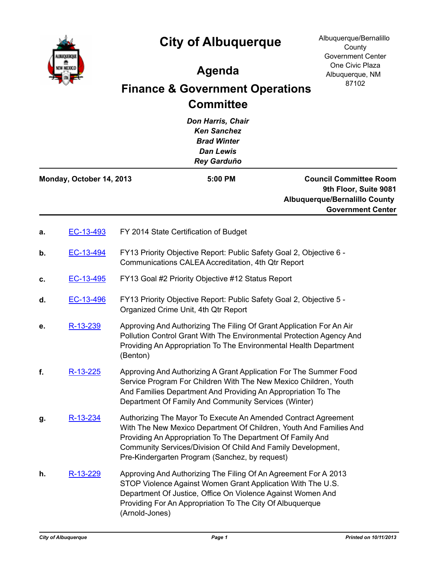



Albuquerque/Bernalillo **County** Government Center One Civic Plaza Albuquerque, NM 87102

## **Agenda**

## **Finance & Government Operations Committee**

*Don Harris, Chair Ken Sanchez Brad Winter Dan Lewis Rey Garduño* **Council Committee Room 9th Floor, Suite 9081 Albuquerque/Bernalillo County Government Center Monday, October 14, 2013 5:00 PM a.** [EC-13-493](http://cabq.legistar.com/gateway.aspx?m=l&id=/matter.aspx?key=8920) FY 2014 State Certification of Budget **b.** [EC-13-494](http://cabq.legistar.com/gateway.aspx?m=l&id=/matter.aspx?key=8921) FY13 Priority Objective Report: Public Safety Goal 2, Objective 6 - Communications CALEA Accreditation, 4th Qtr Report **c.** [EC-13-495](http://cabq.legistar.com/gateway.aspx?m=l&id=/matter.aspx?key=8922) FY13 Goal #2 Priority Objective #12 Status Report **d.** [EC-13-496](http://cabq.legistar.com/gateway.aspx?m=l&id=/matter.aspx?key=8923) FY13 Priority Objective Report: Public Safety Goal 2, Objective 5 - Organized Crime Unit, 4th Qtr Report **e.** [R-13-239](http://cabq.legistar.com/gateway.aspx?m=l&id=/matter.aspx?key=8947) Approving And Authorizing The Filing Of Grant Application For An Air Pollution Control Grant With The Environmental Protection Agency And Providing An Appropriation To The Environmental Health Department (Benton) **f.** [R-13-225](http://cabq.legistar.com/gateway.aspx?m=l&id=/matter.aspx?key=8927) Approving And Authorizing A Grant Application For The Summer Food Service Program For Children With The New Mexico Children, Youth And Families Department And Providing An Appropriation To The Department Of Family And Community Services (Winter) g. [R-13-234](http://cabq.legistar.com/gateway.aspx?m=l&id=/matter.aspx?key=8941) Authorizing The Mayor To Execute An Amended Contract Agreement With The New Mexico Department Of Children, Youth And Families And Providing An Appropriation To The Department Of Family And Community Services/Division Of Child And Family Development, Pre-Kindergarten Program (Sanchez, by request) **h.** [R-13-229](http://cabq.legistar.com/gateway.aspx?m=l&id=/matter.aspx?key=8933) Approving And Authorizing The Filing Of An Agreement For A 2013 STOP Violence Against Women Grant Application With The U.S. Department Of Justice, Office On Violence Against Women And Providing For An Appropriation To The City Of Albuquerque

(Arnold-Jones)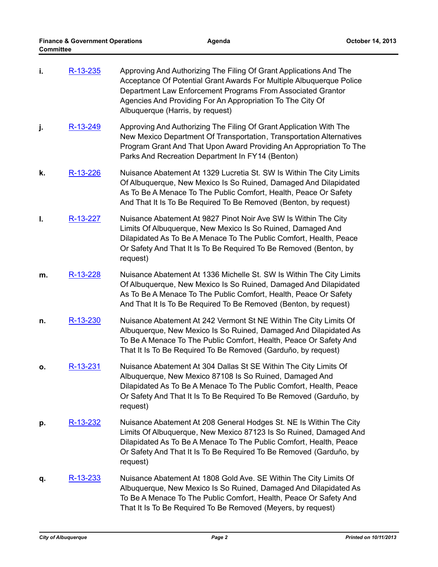| i. | R-13-235        | Approving And Authorizing The Filing Of Grant Applications And The<br>Acceptance Of Potential Grant Awards For Multiple Albuquerque Police<br>Department Law Enforcement Programs From Associated Grantor<br>Agencies And Providing For An Appropriation To The City Of<br>Albuquerque (Harris, by request) |
|----|-----------------|-------------------------------------------------------------------------------------------------------------------------------------------------------------------------------------------------------------------------------------------------------------------------------------------------------------|
| j. | R-13-249        | Approving And Authorizing The Filing Of Grant Application With The<br>New Mexico Department Of Transportation, Transportation Alternatives<br>Program Grant And That Upon Award Providing An Appropriation To The<br>Parks And Recreation Department In FY14 (Benton)                                       |
| k. | R-13-226        | Nuisance Abatement At 1329 Lucretia St. SW Is Within The City Limits<br>Of Albuquerque, New Mexico Is So Ruined, Damaged And Dilapidated<br>As To Be A Menace To The Public Comfort, Health, Peace Or Safety<br>And That It Is To Be Required To Be Removed (Benton, by request)                            |
| I. | R-13-227        | Nuisance Abatement At 9827 Pinot Noir Ave SW Is Within The City<br>Limits Of Albuquerque, New Mexico Is So Ruined, Damaged And<br>Dilapidated As To Be A Menace To The Public Comfort, Health, Peace<br>Or Safety And That It Is To Be Required To Be Removed (Benton, by<br>request)                       |
| m. | R-13-228        | Nuisance Abatement At 1336 Michelle St. SW Is Within The City Limits<br>Of Albuquerque, New Mexico Is So Ruined, Damaged And Dilapidated<br>As To Be A Menace To The Public Comfort, Health, Peace Or Safety<br>And That It Is To Be Required To Be Removed (Benton, by request)                            |
| n. | R-13-230        | Nuisance Abatement At 242 Vermont St NE Within The City Limits Of<br>Albuquerque, New Mexico Is So Ruined, Damaged And Dilapidated As<br>To Be A Menace To The Public Comfort, Health, Peace Or Safety And<br>That It Is To Be Required To Be Removed (Garduño, by request)                                 |
| ο. | R-13-231        | Nuisance Abatement At 304 Dallas St SE Within The City Limits Of<br>Albuquerque, New Mexico 87108 Is So Ruined, Damaged And<br>Dilapidated As To Be A Menace To The Public Comfort, Health, Peace<br>Or Safety And That It Is To Be Required To Be Removed (Garduño, by<br>request)                         |
| p. | <u>R-13-232</u> | Nuisance Abatement At 208 General Hodges St. NE Is Within The City<br>Limits Of Albuquerque, New Mexico 87123 Is So Ruined, Damaged And<br>Dilapidated As To Be A Menace To The Public Comfort, Health, Peace<br>Or Safety And That It Is To Be Required To Be Removed (Garduño, by<br>request)             |
| q. | R-13-233        | Nuisance Abatement At 1808 Gold Ave. SE Within The City Limits Of<br>Albuquerque, New Mexico Is So Ruined, Damaged And Dilapidated As<br>To Be A Menace To The Public Comfort, Health, Peace Or Safety And<br>That It Is To Be Required To Be Removed (Meyers, by request)                                  |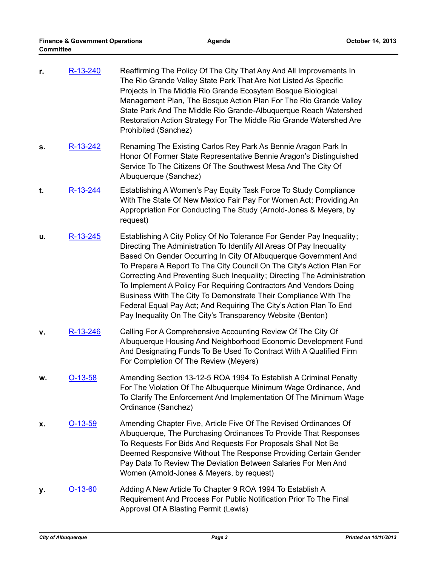| r. | R-13-240       | Reaffirming The Policy Of The City That Any And All Improvements In<br>The Rio Grande Valley State Park That Are Not Listed As Specific<br>Projects In The Middle Rio Grande Ecosytem Bosque Biological<br>Management Plan, The Bosque Action Plan For The Rio Grande Valley<br>State Park And The Middle Rio Grande-Albuquerque Reach Watershed<br>Restoration Action Strategy For The Middle Rio Grande Watershed Are<br>Prohibited (Sanchez)                                                                                                                                                                                                  |
|----|----------------|--------------------------------------------------------------------------------------------------------------------------------------------------------------------------------------------------------------------------------------------------------------------------------------------------------------------------------------------------------------------------------------------------------------------------------------------------------------------------------------------------------------------------------------------------------------------------------------------------------------------------------------------------|
| s. | R-13-242       | Renaming The Existing Carlos Rey Park As Bennie Aragon Park In<br>Honor Of Former State Representative Bennie Aragon's Distinguished<br>Service To The Citizens Of The Southwest Mesa And The City Of<br>Albuquerque (Sanchez)                                                                                                                                                                                                                                                                                                                                                                                                                   |
| t. | R-13-244       | Establishing A Women's Pay Equity Task Force To Study Compliance<br>With The State Of New Mexico Fair Pay For Women Act; Providing An<br>Appropriation For Conducting The Study (Arnold-Jones & Meyers, by<br>request)                                                                                                                                                                                                                                                                                                                                                                                                                           |
| u. | R-13-245       | Establishing A City Policy Of No Tolerance For Gender Pay Inequality;<br>Directing The Administration To Identify All Areas Of Pay Inequality<br>Based On Gender Occurring In City Of Albuquerque Government And<br>To Prepare A Report To The City Council On The City's Action Plan For<br>Correcting And Preventing Such Inequality; Directing The Administration<br>To Implement A Policy For Requiring Contractors And Vendors Doing<br>Business With The City To Demonstrate Their Compliance With The<br>Federal Equal Pay Act; And Requiring The City's Action Plan To End<br>Pay Inequality On The City's Transparency Website (Benton) |
| ۷. | R-13-246       | Calling For A Comprehensive Accounting Review Of The City Of<br>Albuquerque Housing And Neighborhood Economic Development Fund<br>And Designating Funds To Be Used To Contract With A Qualified Firm<br>For Completion Of The Review (Meyers)                                                                                                                                                                                                                                                                                                                                                                                                    |
| w. | <u>O-13-58</u> | Amending Section 13-12-5 ROA 1994 To Establish A Criminal Penalty<br>For The Violation Of The Albuquerque Minimum Wage Ordinance, And<br>To Clarify The Enforcement And Implementation Of The Minimum Wage<br>Ordinance (Sanchez)                                                                                                                                                                                                                                                                                                                                                                                                                |
| х. | <u>O-13-59</u> | Amending Chapter Five, Article Five Of The Revised Ordinances Of<br>Albuquerque, The Purchasing Ordinances To Provide That Responses<br>To Requests For Bids And Requests For Proposals Shall Not Be<br>Deemed Responsive Without The Response Providing Certain Gender<br>Pay Data To Review The Deviation Between Salaries For Men And<br>Women (Arnold-Jones & Meyers, by request)                                                                                                                                                                                                                                                            |
| у. | O-13-60        | Adding A New Article To Chapter 9 ROA 1994 To Establish A<br>Requirement And Process For Public Notification Prior To The Final<br>Approval Of A Blasting Permit (Lewis)                                                                                                                                                                                                                                                                                                                                                                                                                                                                         |